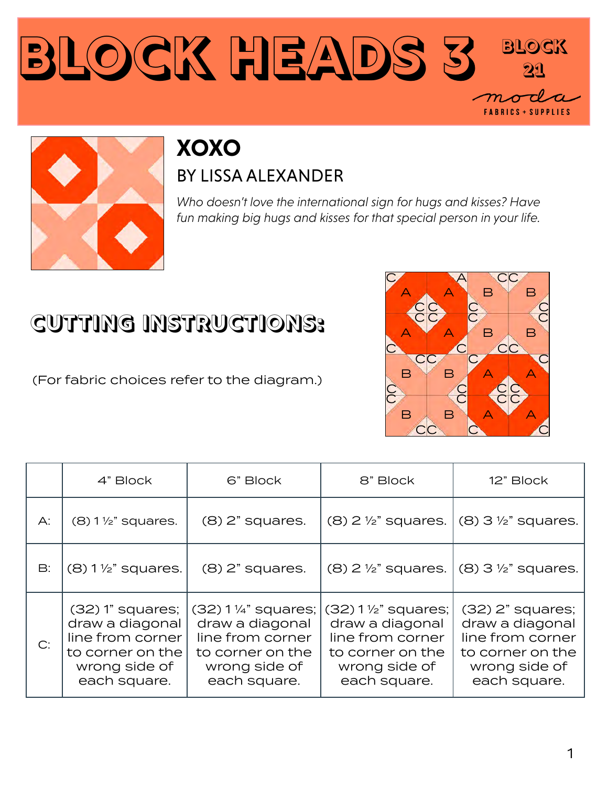



#### **XOXO** BY LISSA ALEXANDER

*Who doesn't love the international sign for hugs and kisses? Have fun making big hugs and kisses for that special person in your life.*

#### **CUTTING INSTRUCTIONS:**

(For fabric choices refer to the diagram.)



|    | 4" Block                                                                                                       | 6" Block                                                                                                       | 8" Block                                                                                                         | 12" Block                                                                                                        |
|----|----------------------------------------------------------------------------------------------------------------|----------------------------------------------------------------------------------------------------------------|------------------------------------------------------------------------------------------------------------------|------------------------------------------------------------------------------------------------------------------|
| A: | $(8)$ 1 $\frac{1}{2}$ " squares.                                                                               | $(8)$ 2" squares.                                                                                              | $(8)$ 2 $\frac{1}{2}$ " squares.                                                                                 | $(8)$ 3 $\frac{1}{2}$ " squares.                                                                                 |
| B: | $(8)$ 1 $\frac{1}{2}$ " squares.                                                                               | $(8)$ 2" squares.                                                                                              | $(8)$ 2 $\frac{1}{2}$ " squares.                                                                                 | $(8)$ 3 $\frac{1}{2}$ " squares.                                                                                 |
| C: | $(32)$ 1" squares;<br>draw a diagonal<br>line from corner<br>to corner on the<br>wrong side of<br>each square. | (32) 1 ¼" squares;<br>draw a diagonal<br>line from corner<br>to corner on the<br>wrong side of<br>each square. | $(32) 1$ %" squares;<br>draw a diagonal<br>line from corner<br>to corner on the<br>wrong side of<br>each square. | $(32)$ $2"$ squares;<br>draw a diagonal<br>line from corner<br>to corner on the<br>wrong side of<br>each square. |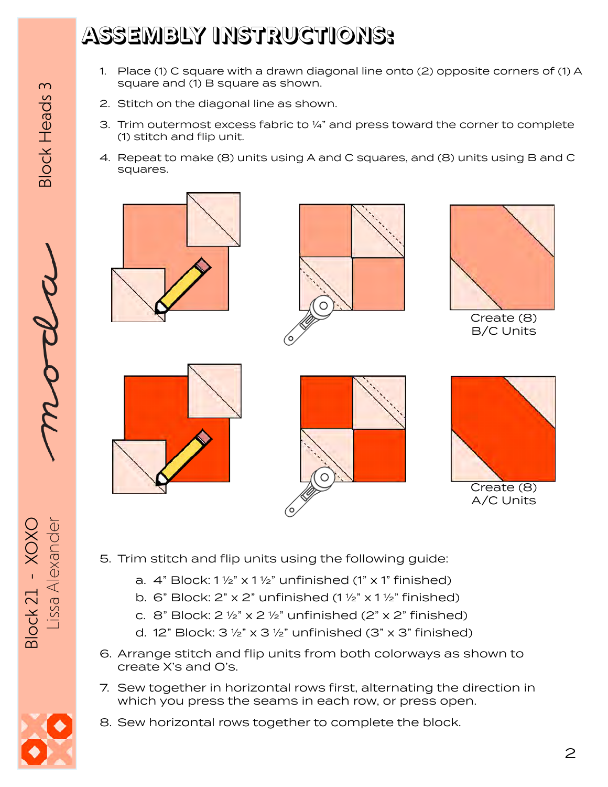## **ASSEMBLY INSTRUCTIONS:**

- 1. Place (1) C square with a drawn diagonal line onto (2) opposite corners of (1) A square and (1) B square as shown.
- 2. Stitch on the diagonal line as shown.
- 3. Trim outermost excess fabric to 1/4" and press toward the corner to complete (1) stitch and flip unit.
- 4. Repeat to make (8) units using A and C squares, and (8) units using B and C squares.







Create (8) B/C Units







A/C Units

- 5. Trim stitch and flip units using the following guide:
	- a.  $4$ " Block:  $1\frac{1}{2}$ " x  $1\frac{1}{2}$ " unfinished (1" x 1" finished)
	- b. 6" Block:  $2$ " x  $2$ " unfinished (1  $\frac{1}{2}$ " x 1  $\frac{1}{2}$ " finished)
	- c. 8" Block:  $2 \frac{1}{2}$ " x  $2 \frac{1}{2}$ " unfinished ( $2$ " x  $2$ " finished)
	- d. 12" Block:  $3\frac{1}{2}$ " x  $3\frac{1}{2}$ " unfinished (3" x 3" finished)
- 6. Arrange stitch and flip units from both colorways as shown to create X's and O's.
- 7. Sew together in horizontal rows first, alternating the direction in which you press the seams in each row, or press open.
- 8. Sew horizontal rows together to complete the block.